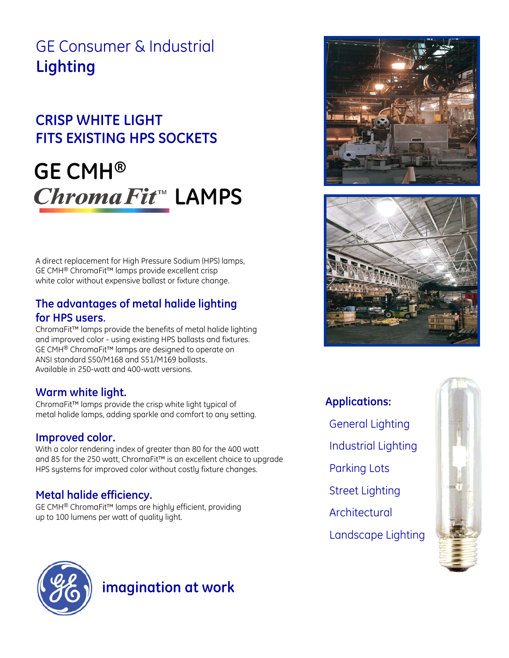# GE Consumer & Industrial **Lighting**

# **CRISP WHITE LIGHT FITS EXISTING HPS SOCKETS**

# **GE CMH®** ChromaFit<sup>™</sup> LAMPS

A direct replacement for High Pressure Sodium (HPS) lamps, GE CMH® ChromaFit™ lamps provide excellent crisp white color without expensive ballast or fixture change.

### **The advantages of metal halide lighting for HPS users.**

ChromaFit™ lamps provide the benefits of metal halide lighting and improved color - using existing HPS ballasts and fixtures. GE CMH® ChromaFit™ lamps are designed to operate on ANSI standard S50/M168 and S51/M169 ballasts. Available in 250-watt and 400-watt versions.

### **Warm white light.**

ChromaFit™ lamps provide the crisp white light typical of metal halide lamps, adding sparkle and comfort to any setting.

### **Improved color.**

With a color rendering index of greater than 80 for the 400 watt and 85 for the 250 watt, ChromaFit™ is an excellent choice to upgrade HPS systems for improved color without costly fixture changes.

### **Metal halide efficiency.**

GE CMH® ChromaFit™ lamps are highly efficient, providing up to 100 lumens per watt of quality light.





**Applications:** General Lighting Industrial Lighting Parking Lots Street Lighting Architectural Landscape Lighting





## **imagination at work**